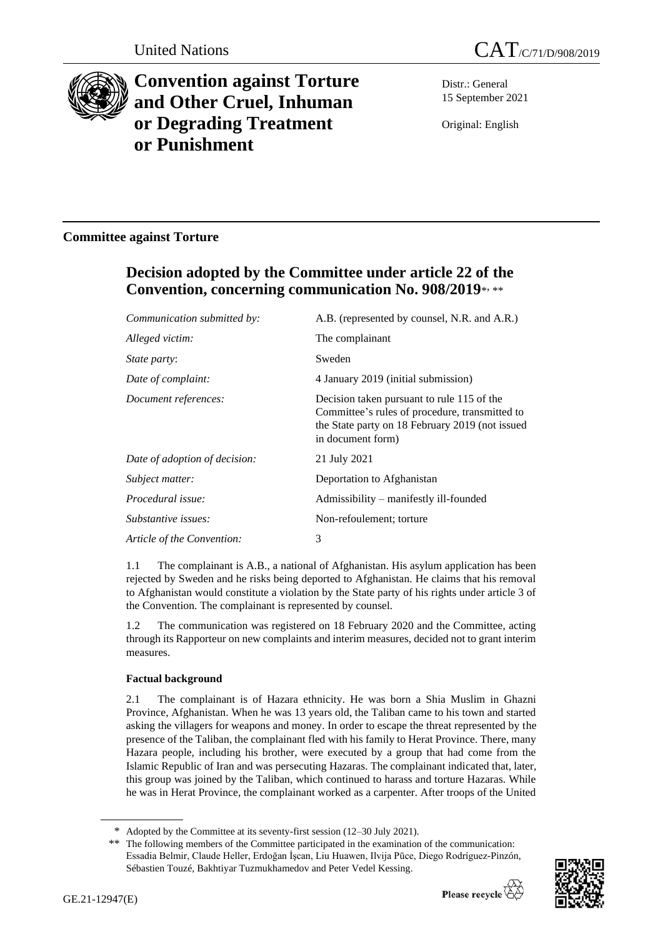



# **Convention against Torture and Other Cruel, Inhuman or Degrading Treatment or Punishment**

Distr.: General 15 September 2021

Original: English

## **Committee against Torture**

## **Decision adopted by the Committee under article 22 of the Convention, concerning communication No. 908/2019**\* , \*\*

| Communication submitted by:   | A.B. (represented by counsel, N.R. and A.R.)                                                                                                                         |
|-------------------------------|----------------------------------------------------------------------------------------------------------------------------------------------------------------------|
| Alleged victim:               | The complainant                                                                                                                                                      |
| <i>State party:</i>           | Sweden                                                                                                                                                               |
| Date of complaint:            | 4 January 2019 (initial submission)                                                                                                                                  |
| Document references:          | Decision taken pursuant to rule 115 of the<br>Committee's rules of procedure, transmitted to<br>the State party on 18 February 2019 (not issued<br>in document form) |
| Date of adoption of decision: | 21 July 2021                                                                                                                                                         |
| Subject matter:               | Deportation to Afghanistan                                                                                                                                           |
| Procedural issue:             | Admissibility - manifestly ill-founded                                                                                                                               |
| Substantive issues:           | Non-refoulement; torture                                                                                                                                             |
| Article of the Convention:    | 3                                                                                                                                                                    |

1.1 The complainant is A.B., a national of Afghanistan. His asylum application has been rejected by Sweden and he risks being deported to Afghanistan. He claims that his removal to Afghanistan would constitute a violation by the State party of his rights under article 3 of the Convention. The complainant is represented by counsel.

1.2 The communication was registered on 18 February 2020 and the Committee, acting through its Rapporteur on new complaints and interim measures, decided not to grant interim measures.

### **Factual background**

2.1 The complainant is of Hazara ethnicity. He was born a Shia Muslim in Ghazni Province, Afghanistan. When he was 13 years old, the Taliban came to his town and started asking the villagers for weapons and money. In order to escape the threat represented by the presence of the Taliban, the complainant fled with his family to Herat Province. There, many Hazara people, including his brother, were executed by a group that had come from the Islamic Republic of Iran and was persecuting Hazaras. The complainant indicated that, later, this group was joined by the Taliban, which continued to harass and torture Hazaras. While he was in Herat Province, the complainant worked as a carpenter. After troops of the United

<sup>\*\*</sup> The following members of the Committee participated in the examination of the communication: Essadia Belmir, Claude Heller, Erdoğan İşcan, Liu Huawen, Ilvija Pūce, Diego Rodríguez-Pinzón, Sébastien Touzé, Bakhtiyar Tuzmukhamedov and Peter Vedel Kessing.



<sup>\*</sup> Adopted by the Committee at its seventy-first session (12–30 July 2021).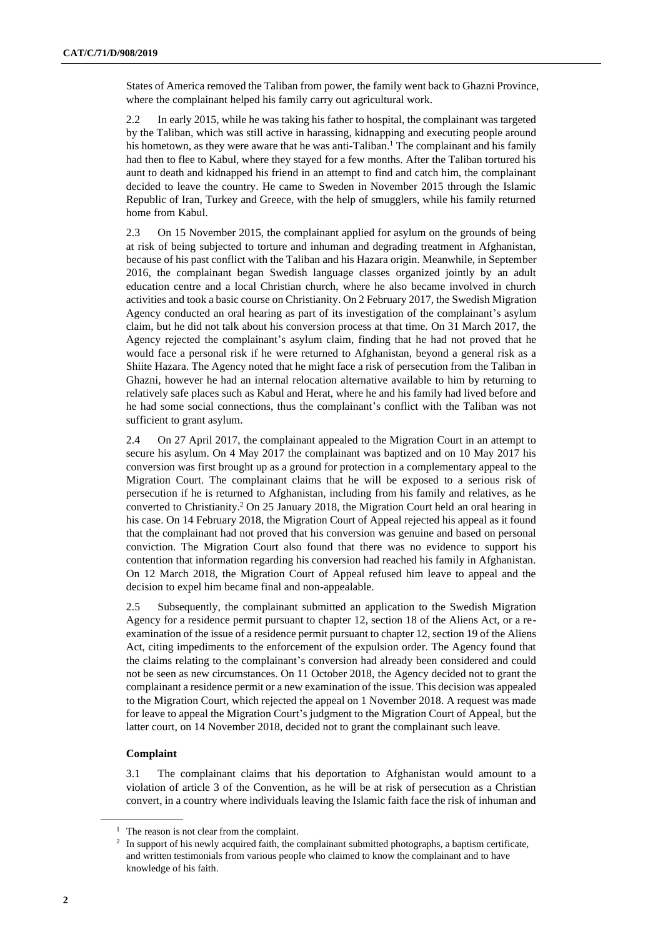States of America removed the Taliban from power, the family went back to Ghazni Province, where the complainant helped his family carry out agricultural work.

2.2 In early 2015, while he was taking his father to hospital, the complainant was targeted by the Taliban, which was still active in harassing, kidnapping and executing people around his hometown, as they were aware that he was anti-Taliban.<sup>1</sup> The complainant and his family had then to flee to Kabul, where they stayed for a few months. After the Taliban tortured his aunt to death and kidnapped his friend in an attempt to find and catch him, the complainant decided to leave the country. He came to Sweden in November 2015 through the Islamic Republic of Iran, Turkey and Greece, with the help of smugglers, while his family returned home from Kabul.

2.3 On 15 November 2015, the complainant applied for asylum on the grounds of being at risk of being subjected to torture and inhuman and degrading treatment in Afghanistan, because of his past conflict with the Taliban and his Hazara origin. Meanwhile, in September 2016, the complainant began Swedish language classes organized jointly by an adult education centre and a local Christian church, where he also became involved in church activities and took a basic course on Christianity. On 2 February 2017, the Swedish Migration Agency conducted an oral hearing as part of its investigation of the complainant's asylum claim, but he did not talk about his conversion process at that time. On 31 March 2017, the Agency rejected the complainant's asylum claim, finding that he had not proved that he would face a personal risk if he were returned to Afghanistan, beyond a general risk as a Shiite Hazara. The Agency noted that he might face a risk of persecution from the Taliban in Ghazni, however he had an internal relocation alternative available to him by returning to relatively safe places such as Kabul and Herat, where he and his family had lived before and he had some social connections, thus the complainant's conflict with the Taliban was not sufficient to grant asylum.

2.4 On 27 April 2017, the complainant appealed to the Migration Court in an attempt to secure his asylum. On 4 May 2017 the complainant was baptized and on 10 May 2017 his conversion was first brought up as a ground for protection in a complementary appeal to the Migration Court. The complainant claims that he will be exposed to a serious risk of persecution if he is returned to Afghanistan, including from his family and relatives, as he converted to Christianity.<sup>2</sup> On 25 January 2018, the Migration Court held an oral hearing in his case. On 14 February 2018, the Migration Court of Appeal rejected his appeal as it found that the complainant had not proved that his conversion was genuine and based on personal conviction. The Migration Court also found that there was no evidence to support his contention that information regarding his conversion had reached his family in Afghanistan. On 12 March 2018, the Migration Court of Appeal refused him leave to appeal and the decision to expel him became final and non-appealable.

2.5 Subsequently, the complainant submitted an application to the Swedish Migration Agency for a residence permit pursuant to chapter 12, section 18 of the Aliens Act, or a reexamination of the issue of a residence permit pursuant to chapter 12, section 19 of the Aliens Act, citing impediments to the enforcement of the expulsion order. The Agency found that the claims relating to the complainant's conversion had already been considered and could not be seen as new circumstances. On 11 October 2018, the Agency decided not to grant the complainant a residence permit or a new examination of the issue. This decision was appealed to the Migration Court, which rejected the appeal on 1 November 2018. A request was made for leave to appeal the Migration Court's judgment to the Migration Court of Appeal, but the latter court, on 14 November 2018, decided not to grant the complainant such leave.

#### **Complaint**

3.1 The complainant claims that his deportation to Afghanistan would amount to a violation of article 3 of the Convention, as he will be at risk of persecution as a Christian convert, in a country where individuals leaving the Islamic faith face the risk of inhuman and

<sup>&</sup>lt;sup>1</sup> The reason is not clear from the complaint.

<sup>&</sup>lt;sup>2</sup> In support of his newly acquired faith, the complainant submitted photographs, a baptism certificate, and written testimonials from various people who claimed to know the complainant and to have knowledge of his faith.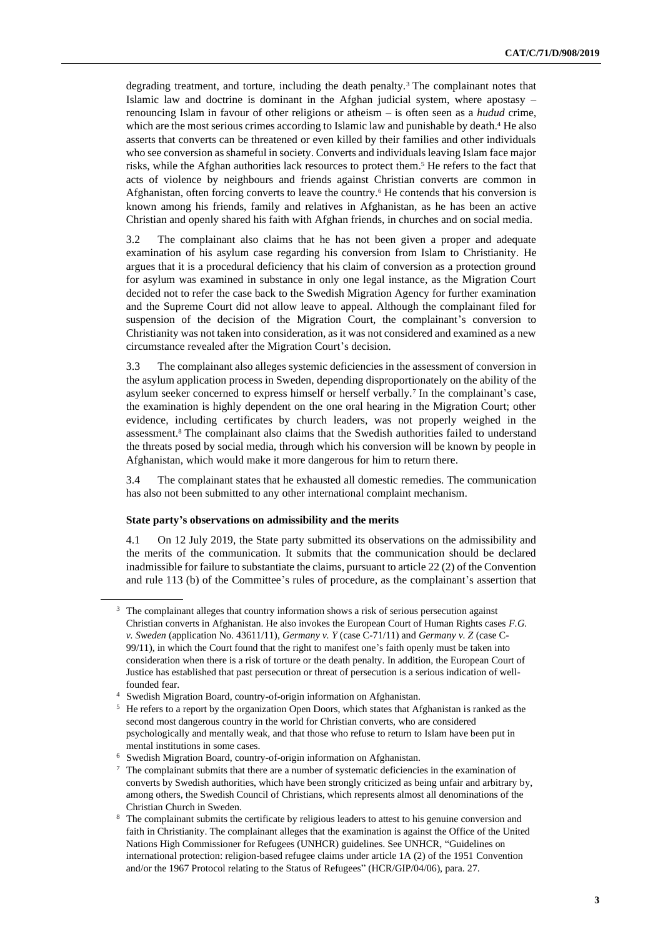degrading treatment, and torture, including the death penalty.<sup>3</sup> The complainant notes that Islamic law and doctrine is dominant in the Afghan judicial system, where apostasy – renouncing Islam in favour of other religions or atheism – is often seen as a *hudud* crime, which are the most serious crimes according to Islamic law and punishable by death.<sup>4</sup> He also asserts that converts can be threatened or even killed by their families and other individuals who see conversion as shameful in society. Converts and individuals leaving Islam face major risks, while the Afghan authorities lack resources to protect them.<sup>5</sup> He refers to the fact that acts of violence by neighbours and friends against Christian converts are common in Afghanistan, often forcing converts to leave the country.<sup>6</sup> He contends that his conversion is known among his friends, family and relatives in Afghanistan, as he has been an active Christian and openly shared his faith with Afghan friends, in churches and on social media.

3.2 The complainant also claims that he has not been given a proper and adequate examination of his asylum case regarding his conversion from Islam to Christianity. He argues that it is a procedural deficiency that his claim of conversion as a protection ground for asylum was examined in substance in only one legal instance, as the Migration Court decided not to refer the case back to the Swedish Migration Agency for further examination and the Supreme Court did not allow leave to appeal. Although the complainant filed for suspension of the decision of the Migration Court, the complainant's conversion to Christianity was not taken into consideration, as it was not considered and examined as a new circumstance revealed after the Migration Court's decision.

3.3 The complainant also alleges systemic deficiencies in the assessment of conversion in the asylum application process in Sweden, depending disproportionately on the ability of the asylum seeker concerned to express himself or herself verbally.<sup>7</sup> In the complainant's case, the examination is highly dependent on the one oral hearing in the Migration Court; other evidence, including certificates by church leaders, was not properly weighed in the assessment.<sup>8</sup> The complainant also claims that the Swedish authorities failed to understand the threats posed by social media, through which his conversion will be known by people in Afghanistan, which would make it more dangerous for him to return there.

3.4 The complainant states that he exhausted all domestic remedies. The communication has also not been submitted to any other international complaint mechanism.

#### **State party's observations on admissibility and the merits**

4.1 On 12 July 2019, the State party submitted its observations on the admissibility and the merits of the communication. It submits that the communication should be declared inadmissible for failure to substantiate the claims, pursuant to article 22 (2) of the Convention and rule 113 (b) of the Committee's rules of procedure, as the complainant's assertion that

<sup>&</sup>lt;sup>3</sup> The complainant alleges that country information shows a risk of serious persecution against Christian converts in Afghanistan. He also invokes the European Court of Human Rights cases *F.G. v. Sweden* (application No. 43611/11), *Germany v. Y* (case C-71/11) and *Germany v. Z* (case C-99/11), in which the Court found that the right to manifest one's faith openly must be taken into consideration when there is a risk of torture or the death penalty. In addition, the European Court of Justice has established that past persecution or threat of persecution is a serious indication of wellfounded fear.

<sup>4</sup> Swedish Migration Board, country-of-origin information on Afghanistan.

<sup>&</sup>lt;sup>5</sup> He refers to a report by the organization Open Doors, which states that Afghanistan is ranked as the second most dangerous country in the world for Christian converts, who are considered psychologically and mentally weak, and that those who refuse to return to Islam have been put in mental institutions in some cases.

<sup>6</sup> Swedish Migration Board, country-of-origin information on Afghanistan.

<sup>7</sup> The complainant submits that there are a number of systematic deficiencies in the examination of converts by Swedish authorities, which have been strongly criticized as being unfair and arbitrary by, among others, the Swedish Council of Christians, which represents almost all denominations of the Christian Church in Sweden.

<sup>8</sup> The complainant submits the certificate by religious leaders to attest to his genuine conversion and faith in Christianity. The complainant alleges that the examination is against the Office of the United Nations High Commissioner for Refugees (UNHCR) guidelines. See UNHCR, "Guidelines on international protection: religion-based refugee claims under article 1A (2) of the 1951 Convention and/or the 1967 Protocol relating to the Status of Refugees" (HCR/GIP/04/06), para. 27.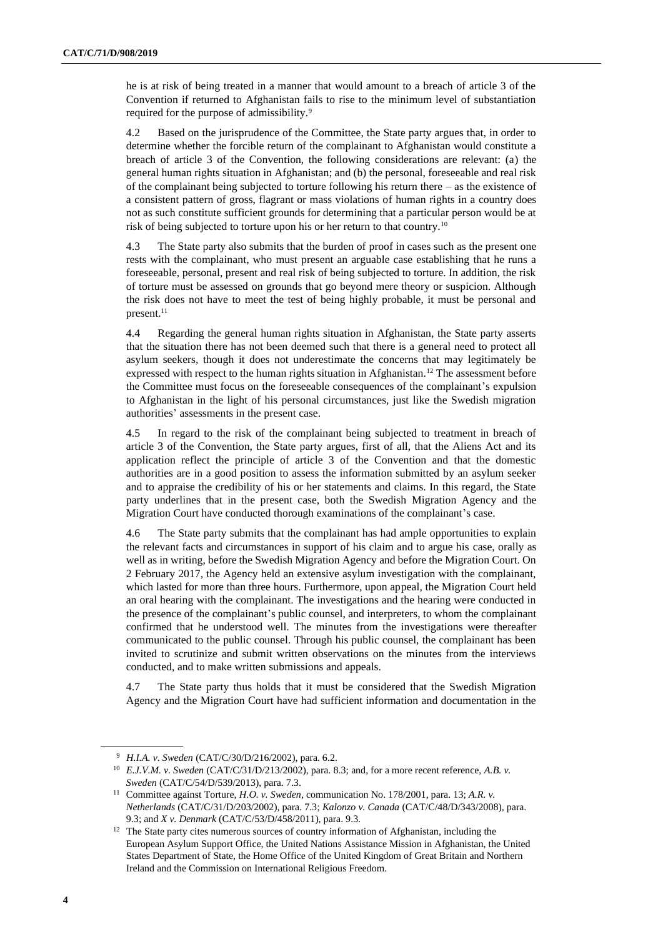he is at risk of being treated in a manner that would amount to a breach of article 3 of the Convention if returned to Afghanistan fails to rise to the minimum level of substantiation required for the purpose of admissibility.<sup>9</sup>

4.2 Based on the jurisprudence of the Committee, the State party argues that, in order to determine whether the forcible return of the complainant to Afghanistan would constitute a breach of article 3 of the Convention, the following considerations are relevant: (a) the general human rights situation in Afghanistan; and (b) the personal, foreseeable and real risk of the complainant being subjected to torture following his return there – as the existence of a consistent pattern of gross, flagrant or mass violations of human rights in a country does not as such constitute sufficient grounds for determining that a particular person would be at risk of being subjected to torture upon his or her return to that country.<sup>10</sup>

4.3 The State party also submits that the burden of proof in cases such as the present one rests with the complainant, who must present an arguable case establishing that he runs a foreseeable, personal, present and real risk of being subjected to torture. In addition, the risk of torture must be assessed on grounds that go beyond mere theory or suspicion. Although the risk does not have to meet the test of being highly probable, it must be personal and present.<sup>11</sup>

4.4 Regarding the general human rights situation in Afghanistan, the State party asserts that the situation there has not been deemed such that there is a general need to protect all asylum seekers, though it does not underestimate the concerns that may legitimately be expressed with respect to the human rights situation in Afghanistan.<sup>12</sup> The assessment before the Committee must focus on the foreseeable consequences of the complainant's expulsion to Afghanistan in the light of his personal circumstances, just like the Swedish migration authorities' assessments in the present case.

4.5 In regard to the risk of the complainant being subjected to treatment in breach of article 3 of the Convention, the State party argues, first of all, that the Aliens Act and its application reflect the principle of article 3 of the Convention and that the domestic authorities are in a good position to assess the information submitted by an asylum seeker and to appraise the credibility of his or her statements and claims. In this regard, the State party underlines that in the present case, both the Swedish Migration Agency and the Migration Court have conducted thorough examinations of the complainant's case.

4.6 The State party submits that the complainant has had ample opportunities to explain the relevant facts and circumstances in support of his claim and to argue his case, orally as well as in writing, before the Swedish Migration Agency and before the Migration Court. On 2 February 2017, the Agency held an extensive asylum investigation with the complainant, which lasted for more than three hours. Furthermore, upon appeal, the Migration Court held an oral hearing with the complainant. The investigations and the hearing were conducted in the presence of the complainant's public counsel, and interpreters, to whom the complainant confirmed that he understood well. The minutes from the investigations were thereafter communicated to the public counsel. Through his public counsel, the complainant has been invited to scrutinize and submit written observations on the minutes from the interviews conducted, and to make written submissions and appeals.

4.7 The State party thus holds that it must be considered that the Swedish Migration Agency and the Migration Court have had sufficient information and documentation in the

<sup>9</sup> *H.I.A. v. Sweden* (CAT/C/30/D/216/2002), para. 6.2.

<sup>10</sup> *E.J.V.M. v. Sweden* (CAT/C/31/D/213/2002), para. 8.3; and, for a more recent reference, *A.B. v. Sweden* (CAT/C/54/D/539/2013), para. 7.3.

<sup>11</sup> Committee against Torture, *H.O. v. Sweden*, communication No. 178/2001, para. 13; *A.R. v. Netherlands* (CAT/C/31/D/203/2002), para. 7.3; *Kalonzo v. Canada* (CAT/C/48/D/343/2008), para. 9.3; and *X v. Denmark* (CAT/C/53/D/458/2011), para. 9.3.

<sup>&</sup>lt;sup>12</sup> The State party cites numerous sources of country information of Afghanistan, including the European Asylum Support Office, the United Nations Assistance Mission in Afghanistan, the United States Department of State, the Home Office of the United Kingdom of Great Britain and Northern Ireland and the Commission on International Religious Freedom.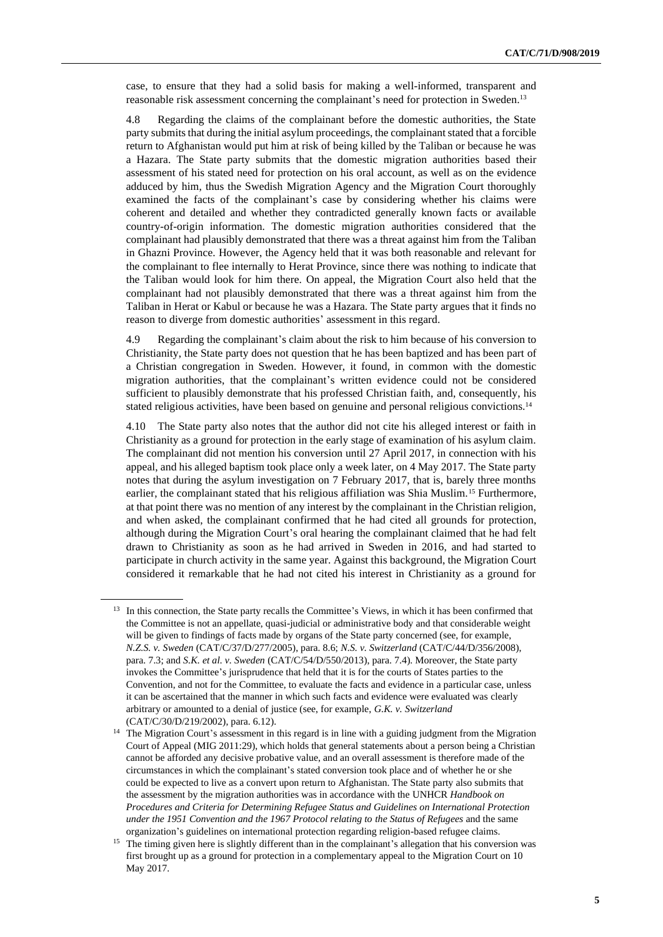case, to ensure that they had a solid basis for making a well-informed, transparent and reasonable risk assessment concerning the complainant's need for protection in Sweden.<sup>13</sup>

4.8 Regarding the claims of the complainant before the domestic authorities, the State party submits that during the initial asylum proceedings, the complainant stated that a forcible return to Afghanistan would put him at risk of being killed by the Taliban or because he was a Hazara. The State party submits that the domestic migration authorities based their assessment of his stated need for protection on his oral account, as well as on the evidence adduced by him, thus the Swedish Migration Agency and the Migration Court thoroughly examined the facts of the complainant's case by considering whether his claims were coherent and detailed and whether they contradicted generally known facts or available country-of-origin information. The domestic migration authorities considered that the complainant had plausibly demonstrated that there was a threat against him from the Taliban in Ghazni Province. However, the Agency held that it was both reasonable and relevant for the complainant to flee internally to Herat Province, since there was nothing to indicate that the Taliban would look for him there. On appeal, the Migration Court also held that the complainant had not plausibly demonstrated that there was a threat against him from the Taliban in Herat or Kabul or because he was a Hazara. The State party argues that it finds no reason to diverge from domestic authorities' assessment in this regard.

4.9 Regarding the complainant's claim about the risk to him because of his conversion to Christianity, the State party does not question that he has been baptized and has been part of a Christian congregation in Sweden. However, it found, in common with the domestic migration authorities, that the complainant's written evidence could not be considered sufficient to plausibly demonstrate that his professed Christian faith, and, consequently, his stated religious activities, have been based on genuine and personal religious convictions.<sup>14</sup>

4.10 The State party also notes that the author did not cite his alleged interest or faith in Christianity as a ground for protection in the early stage of examination of his asylum claim. The complainant did not mention his conversion until 27 April 2017, in connection with his appeal, and his alleged baptism took place only a week later, on 4 May 2017. The State party notes that during the asylum investigation on 7 February 2017, that is, barely three months earlier, the complainant stated that his religious affiliation was Shia Muslim.<sup>15</sup> Furthermore, at that point there was no mention of any interest by the complainant in the Christian religion, and when asked, the complainant confirmed that he had cited all grounds for protection, although during the Migration Court's oral hearing the complainant claimed that he had felt drawn to Christianity as soon as he had arrived in Sweden in 2016, and had started to participate in church activity in the same year. Against this background, the Migration Court considered it remarkable that he had not cited his interest in Christianity as a ground for

<sup>&</sup>lt;sup>13</sup> In this connection, the State party recalls the Committee's Views, in which it has been confirmed that the Committee is not an appellate, quasi-judicial or administrative body and that considerable weight will be given to findings of facts made by organs of the State party concerned (see, for example, *N.Z.S. v. Sweden* (CAT/C/37/D/277/2005), para. 8.6; *N.S. v. Switzerland* (CAT/C/44/D/356/2008), para. 7.3; and *S.K. et al. v. Sweden* (CAT/C/54/D/550/2013), para. 7.4). Moreover, the State party invokes the Committee's jurisprudence that held that it is for the courts of States parties to the Convention, and not for the Committee, to evaluate the facts and evidence in a particular case, unless it can be ascertained that the manner in which such facts and evidence were evaluated was clearly arbitrary or amounted to a denial of justice (see, for example, *G.K. v. Switzerland* (CAT/C/30/D/219/2002), para. 6.12).

<sup>&</sup>lt;sup>14</sup> The Migration Court's assessment in this regard is in line with a guiding judgment from the Migration Court of Appeal (MIG 2011:29), which holds that general statements about a person being a Christian cannot be afforded any decisive probative value, and an overall assessment is therefore made of the circumstances in which the complainant's stated conversion took place and of whether he or she could be expected to live as a convert upon return to Afghanistan. The State party also submits that the assessment by the migration authorities was in accordance with the UNHCR *Handbook on Procedures and Criteria for Determining Refugee Status and Guidelines on International Protection under the 1951 Convention and the 1967 Protocol relating to the Status of Refugees* and the same organization's guidelines on international protection regarding religion-based refugee claims.

<sup>&</sup>lt;sup>15</sup> The timing given here is slightly different than in the complainant's allegation that his conversion was first brought up as a ground for protection in a complementary appeal to the Migration Court on 10 May 2017.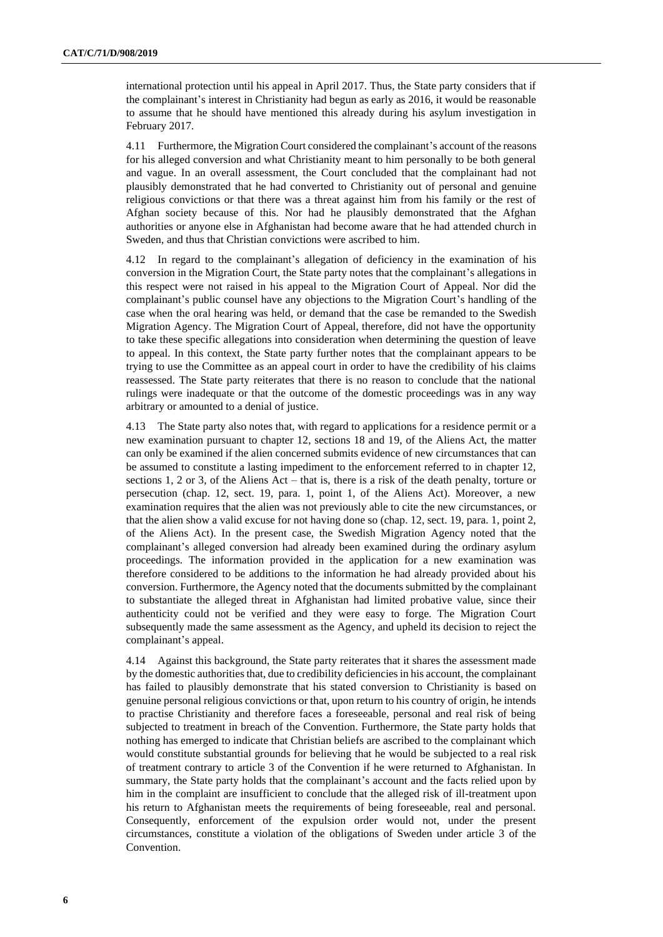international protection until his appeal in April 2017. Thus, the State party considers that if the complainant's interest in Christianity had begun as early as 2016, it would be reasonable to assume that he should have mentioned this already during his asylum investigation in February 2017.

4.11 Furthermore, the Migration Court considered the complainant's account of the reasons for his alleged conversion and what Christianity meant to him personally to be both general and vague. In an overall assessment, the Court concluded that the complainant had not plausibly demonstrated that he had converted to Christianity out of personal and genuine religious convictions or that there was a threat against him from his family or the rest of Afghan society because of this. Nor had he plausibly demonstrated that the Afghan authorities or anyone else in Afghanistan had become aware that he had attended church in Sweden, and thus that Christian convictions were ascribed to him.

4.12 In regard to the complainant's allegation of deficiency in the examination of his conversion in the Migration Court, the State party notes that the complainant's allegations in this respect were not raised in his appeal to the Migration Court of Appeal. Nor did the complainant's public counsel have any objections to the Migration Court's handling of the case when the oral hearing was held, or demand that the case be remanded to the Swedish Migration Agency. The Migration Court of Appeal, therefore, did not have the opportunity to take these specific allegations into consideration when determining the question of leave to appeal. In this context, the State party further notes that the complainant appears to be trying to use the Committee as an appeal court in order to have the credibility of his claims reassessed. The State party reiterates that there is no reason to conclude that the national rulings were inadequate or that the outcome of the domestic proceedings was in any way arbitrary or amounted to a denial of justice.

4.13 The State party also notes that, with regard to applications for a residence permit or a new examination pursuant to chapter 12, sections 18 and 19, of the Aliens Act, the matter can only be examined if the alien concerned submits evidence of new circumstances that can be assumed to constitute a lasting impediment to the enforcement referred to in chapter 12, sections 1, 2 or 3, of the Aliens Act – that is, there is a risk of the death penalty, torture or persecution (chap. 12, sect. 19, para. 1, point 1, of the Aliens Act). Moreover, a new examination requires that the alien was not previously able to cite the new circumstances, or that the alien show a valid excuse for not having done so (chap. 12, sect. 19, para. 1, point 2, of the Aliens Act). In the present case, the Swedish Migration Agency noted that the complainant's alleged conversion had already been examined during the ordinary asylum proceedings. The information provided in the application for a new examination was therefore considered to be additions to the information he had already provided about his conversion. Furthermore, the Agency noted that the documents submitted by the complainant to substantiate the alleged threat in Afghanistan had limited probative value, since their authenticity could not be verified and they were easy to forge. The Migration Court subsequently made the same assessment as the Agency, and upheld its decision to reject the complainant's appeal.

4.14 Against this background, the State party reiterates that it shares the assessment made by the domestic authorities that, due to credibility deficiencies in his account, the complainant has failed to plausibly demonstrate that his stated conversion to Christianity is based on genuine personal religious convictions or that, upon return to his country of origin, he intends to practise Christianity and therefore faces a foreseeable, personal and real risk of being subjected to treatment in breach of the Convention. Furthermore, the State party holds that nothing has emerged to indicate that Christian beliefs are ascribed to the complainant which would constitute substantial grounds for believing that he would be subjected to a real risk of treatment contrary to article 3 of the Convention if he were returned to Afghanistan. In summary, the State party holds that the complainant's account and the facts relied upon by him in the complaint are insufficient to conclude that the alleged risk of ill-treatment upon his return to Afghanistan meets the requirements of being foreseeable, real and personal. Consequently, enforcement of the expulsion order would not, under the present circumstances, constitute a violation of the obligations of Sweden under article 3 of the Convention.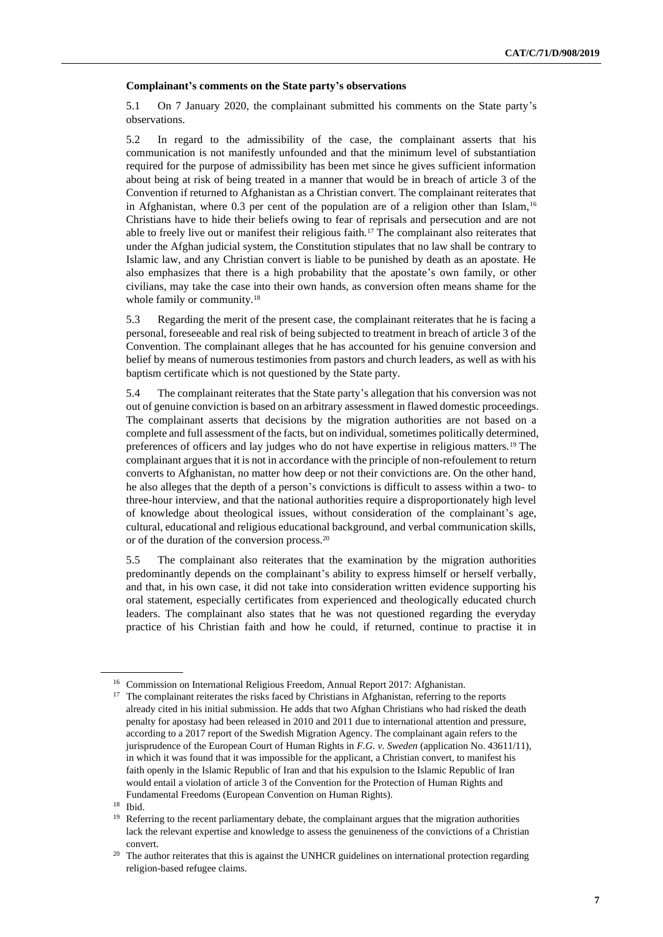#### **Complainant's comments on the State party's observations**

5.1 On 7 January 2020, the complainant submitted his comments on the State party's observations.

5.2 In regard to the admissibility of the case, the complainant asserts that his communication is not manifestly unfounded and that the minimum level of substantiation required for the purpose of admissibility has been met since he gives sufficient information about being at risk of being treated in a manner that would be in breach of article 3 of the Convention if returned to Afghanistan as a Christian convert. The complainant reiterates that in Afghanistan, where  $0.3$  per cent of the population are of a religion other than Islam,<sup>16</sup> Christians have to hide their beliefs owing to fear of reprisals and persecution and are not able to freely live out or manifest their religious faith.<sup>17</sup> The complainant also reiterates that under the Afghan judicial system, the Constitution stipulates that no law shall be contrary to Islamic law, and any Christian convert is liable to be punished by death as an apostate. He also emphasizes that there is a high probability that the apostate's own family, or other civilians, may take the case into their own hands, as conversion often means shame for the whole family or community.<sup>18</sup>

5.3 Regarding the merit of the present case, the complainant reiterates that he is facing a personal, foreseeable and real risk of being subjected to treatment in breach of article 3 of the Convention. The complainant alleges that he has accounted for his genuine conversion and belief by means of numerous testimonies from pastors and church leaders, as well as with his baptism certificate which is not questioned by the State party.

5.4 The complainant reiterates that the State party's allegation that his conversion was not out of genuine conviction is based on an arbitrary assessment in flawed domestic proceedings. The complainant asserts that decisions by the migration authorities are not based on a complete and full assessment of the facts, but on individual, sometimes politically determined, preferences of officers and lay judges who do not have expertise in religious matters.<sup>19</sup> The complainant argues that it is not in accordance with the principle of non-refoulement to return converts to Afghanistan, no matter how deep or not their convictions are. On the other hand, he also alleges that the depth of a person's convictions is difficult to assess within a two- to three-hour interview, and that the national authorities require a disproportionately high level of knowledge about theological issues, without consideration of the complainant's age, cultural, educational and religious educational background, and verbal communication skills, or of the duration of the conversion process.<sup>20</sup>

5.5 The complainant also reiterates that the examination by the migration authorities predominantly depends on the complainant's ability to express himself or herself verbally, and that, in his own case, it did not take into consideration written evidence supporting his oral statement, especially certificates from experienced and theologically educated church leaders. The complainant also states that he was not questioned regarding the everyday practice of his Christian faith and how he could, if returned, continue to practise it in

<sup>16</sup> Commission on International Religious Freedom, Annual Report 2017: Afghanistan.

<sup>&</sup>lt;sup>17</sup> The complainant reiterates the risks faced by Christians in Afghanistan, referring to the reports already cited in his initial submission. He adds that two Afghan Christians who had risked the death penalty for apostasy had been released in 2010 and 2011 due to international attention and pressure, according to a 2017 report of the Swedish Migration Agency. The complainant again refers to the jurisprudence of the European Court of Human Rights in *F.G. v. Sweden* (application No. 43611/11), in which it was found that it was impossible for the applicant, a Christian convert, to manifest his faith openly in the Islamic Republic of Iran and that his expulsion to the Islamic Republic of Iran would entail a violation of article 3 of the Convention for the Protection of Human Rights and Fundamental Freedoms (European Convention on Human Rights).

<sup>18</sup> Ibid.

<sup>&</sup>lt;sup>19</sup> Referring to the recent parliamentary debate, the complainant argues that the migration authorities lack the relevant expertise and knowledge to assess the genuineness of the convictions of a Christian convert.

<sup>&</sup>lt;sup>20</sup> The author reiterates that this is against the UNHCR guidelines on international protection regarding religion-based refugee claims.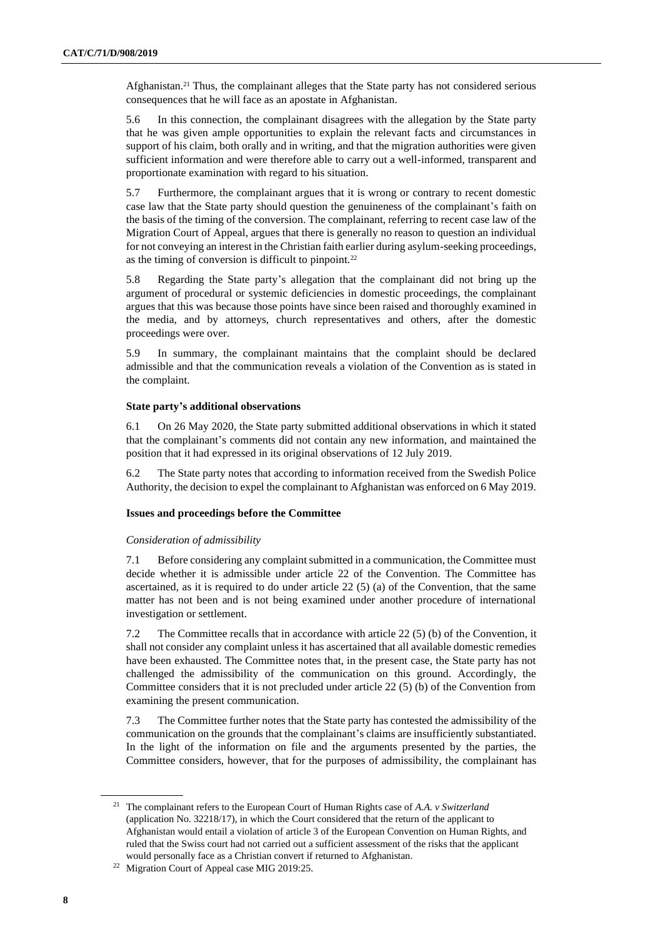Afghanistan.<sup>21</sup> Thus, the complainant alleges that the State party has not considered serious consequences that he will face as an apostate in Afghanistan.

5.6 In this connection, the complainant disagrees with the allegation by the State party that he was given ample opportunities to explain the relevant facts and circumstances in support of his claim, both orally and in writing, and that the migration authorities were given sufficient information and were therefore able to carry out a well-informed, transparent and proportionate examination with regard to his situation.

5.7 Furthermore, the complainant argues that it is wrong or contrary to recent domestic case law that the State party should question the genuineness of the complainant's faith on the basis of the timing of the conversion. The complainant, referring to recent case law of the Migration Court of Appeal, argues that there is generally no reason to question an individual for not conveying an interest in the Christian faith earlier during asylum-seeking proceedings, as the timing of conversion is difficult to pinpoint.<sup>22</sup>

5.8 Regarding the State party's allegation that the complainant did not bring up the argument of procedural or systemic deficiencies in domestic proceedings, the complainant argues that this was because those points have since been raised and thoroughly examined in the media, and by attorneys, church representatives and others, after the domestic proceedings were over.

5.9 In summary, the complainant maintains that the complaint should be declared admissible and that the communication reveals a violation of the Convention as is stated in the complaint.

#### **State party's additional observations**

6.1 On 26 May 2020, the State party submitted additional observations in which it stated that the complainant's comments did not contain any new information, and maintained the position that it had expressed in its original observations of 12 July 2019.

6.2 The State party notes that according to information received from the Swedish Police Authority, the decision to expel the complainant to Afghanistan was enforced on 6 May 2019.

#### **Issues and proceedings before the Committee**

#### *Consideration of admissibility*

7.1 Before considering any complaint submitted in a communication, the Committee must decide whether it is admissible under article 22 of the Convention. The Committee has ascertained, as it is required to do under article  $22(5)$  (a) of the Convention, that the same matter has not been and is not being examined under another procedure of international investigation or settlement.

7.2 The Committee recalls that in accordance with article 22 (5) (b) of the Convention, it shall not consider any complaint unless it has ascertained that all available domestic remedies have been exhausted. The Committee notes that, in the present case, the State party has not challenged the admissibility of the communication on this ground. Accordingly, the Committee considers that it is not precluded under article 22 (5) (b) of the Convention from examining the present communication.

7.3 The Committee further notes that the State party has contested the admissibility of the communication on the grounds that the complainant's claims are insufficiently substantiated. In the light of the information on file and the arguments presented by the parties, the Committee considers, however, that for the purposes of admissibility, the complainant has

<sup>21</sup> The complainant refers to the European Court of Human Rights case of *A.A. v Switzerland* (application No. 32218/17), in which the Court considered that the return of the applicant to Afghanistan would entail a violation of article 3 of the European Convention on Human Rights, and ruled that the Swiss court had not carried out a sufficient assessment of the risks that the applicant would personally face as a Christian convert if returned to Afghanistan.

<sup>22</sup> Migration Court of Appeal case MIG 2019:25.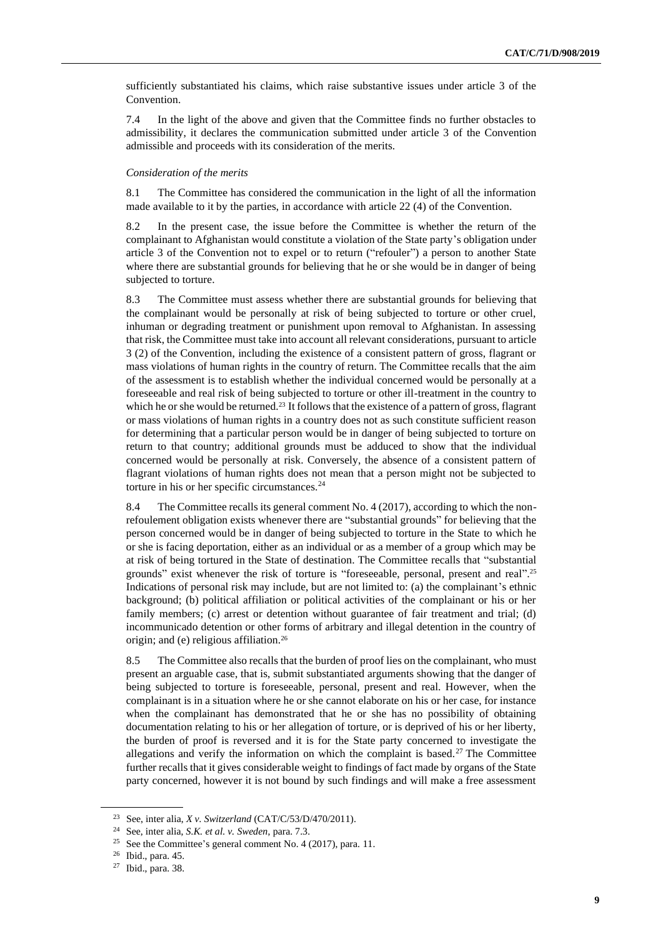sufficiently substantiated his claims, which raise substantive issues under article 3 of the Convention.

7.4 In the light of the above and given that the Committee finds no further obstacles to admissibility, it declares the communication submitted under article 3 of the Convention admissible and proceeds with its consideration of the merits.

#### *Consideration of the merits*

8.1 The Committee has considered the communication in the light of all the information made available to it by the parties, in accordance with article 22 (4) of the Convention.

8.2 In the present case, the issue before the Committee is whether the return of the complainant to Afghanistan would constitute a violation of the State party's obligation under article 3 of the Convention not to expel or to return ("refouler") a person to another State where there are substantial grounds for believing that he or she would be in danger of being subjected to torture.

8.3 The Committee must assess whether there are substantial grounds for believing that the complainant would be personally at risk of being subjected to torture or other cruel, inhuman or degrading treatment or punishment upon removal to Afghanistan. In assessing that risk, the Committee must take into account all relevant considerations, pursuant to article 3 (2) of the Convention, including the existence of a consistent pattern of gross, flagrant or mass violations of human rights in the country of return. The Committee recalls that the aim of the assessment is to establish whether the individual concerned would be personally at a foreseeable and real risk of being subjected to torture or other ill-treatment in the country to which he or she would be returned.<sup>23</sup> It follows that the existence of a pattern of gross, flagrant or mass violations of human rights in a country does not as such constitute sufficient reason for determining that a particular person would be in danger of being subjected to torture on return to that country; additional grounds must be adduced to show that the individual concerned would be personally at risk. Conversely, the absence of a consistent pattern of flagrant violations of human rights does not mean that a person might not be subjected to torture in his or her specific circumstances. $24$ 

8.4 The Committee recalls its general comment No. 4 (2017), according to which the nonrefoulement obligation exists whenever there are "substantial grounds" for believing that the person concerned would be in danger of being subjected to torture in the State to which he or she is facing deportation, either as an individual or as a member of a group which may be at risk of being tortured in the State of destination. The Committee recalls that "substantial grounds" exist whenever the risk of torture is "foreseeable, personal, present and real".<sup>25</sup> Indications of personal risk may include, but are not limited to: (a) the complainant's ethnic background; (b) political affiliation or political activities of the complainant or his or her family members; (c) arrest or detention without guarantee of fair treatment and trial; (d) incommunicado detention or other forms of arbitrary and illegal detention in the country of origin; and (e) religious affiliation.<sup>26</sup>

8.5 The Committee also recalls that the burden of proof lies on the complainant, who must present an arguable case, that is, submit substantiated arguments showing that the danger of being subjected to torture is foreseeable, personal, present and real. However, when the complainant is in a situation where he or she cannot elaborate on his or her case, for instance when the complainant has demonstrated that he or she has no possibility of obtaining documentation relating to his or her allegation of torture, or is deprived of his or her liberty, the burden of proof is reversed and it is for the State party concerned to investigate the allegations and verify the information on which the complaint is based.<sup>27</sup> The Committee further recalls that it gives considerable weight to findings of fact made by organs of the State party concerned, however it is not bound by such findings and will make a free assessment

<sup>23</sup> See, inter alia, *X v. Switzerland* (CAT/C/53/D/470/2011).

<sup>24</sup> See, inter alia, *S.K. et al. v. Sweden*, para. 7.3.

See the Committee's general comment No. 4 (2017), para. 11.

<sup>26</sup> Ibid., para. 45.

<sup>27</sup> Ibid., para. 38.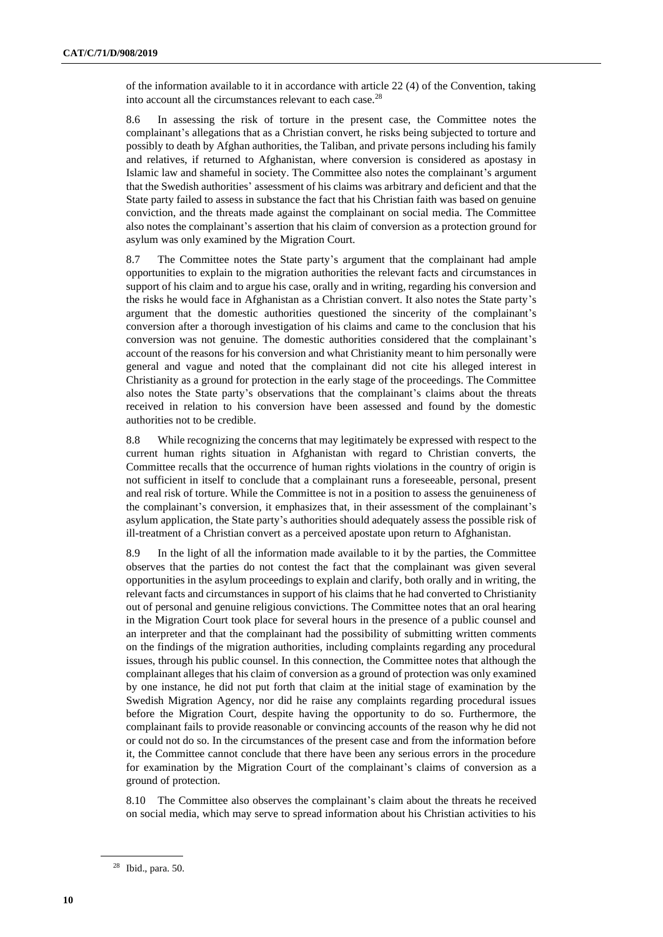of the information available to it in accordance with article 22 (4) of the Convention, taking into account all the circumstances relevant to each case.<sup>28</sup>

8.6 In assessing the risk of torture in the present case, the Committee notes the complainant's allegations that as a Christian convert, he risks being subjected to torture and possibly to death by Afghan authorities, the Taliban, and private persons including his family and relatives, if returned to Afghanistan, where conversion is considered as apostasy in Islamic law and shameful in society. The Committee also notes the complainant's argument that the Swedish authorities' assessment of his claims was arbitrary and deficient and that the State party failed to assess in substance the fact that his Christian faith was based on genuine conviction, and the threats made against the complainant on social media. The Committee also notes the complainant's assertion that his claim of conversion as a protection ground for asylum was only examined by the Migration Court.

8.7 The Committee notes the State party's argument that the complainant had ample opportunities to explain to the migration authorities the relevant facts and circumstances in support of his claim and to argue his case, orally and in writing, regarding his conversion and the risks he would face in Afghanistan as a Christian convert. It also notes the State party's argument that the domestic authorities questioned the sincerity of the complainant's conversion after a thorough investigation of his claims and came to the conclusion that his conversion was not genuine. The domestic authorities considered that the complainant's account of the reasons for his conversion and what Christianity meant to him personally were general and vague and noted that the complainant did not cite his alleged interest in Christianity as a ground for protection in the early stage of the proceedings. The Committee also notes the State party's observations that the complainant's claims about the threats received in relation to his conversion have been assessed and found by the domestic authorities not to be credible.

8.8 While recognizing the concerns that may legitimately be expressed with respect to the current human rights situation in Afghanistan with regard to Christian converts, the Committee recalls that the occurrence of human rights violations in the country of origin is not sufficient in itself to conclude that a complainant runs a foreseeable, personal, present and real risk of torture. While the Committee is not in a position to assess the genuineness of the complainant's conversion, it emphasizes that, in their assessment of the complainant's asylum application, the State party's authorities should adequately assess the possible risk of ill-treatment of a Christian convert as a perceived apostate upon return to Afghanistan.

8.9 In the light of all the information made available to it by the parties, the Committee observes that the parties do not contest the fact that the complainant was given several opportunities in the asylum proceedings to explain and clarify, both orally and in writing, the relevant facts and circumstances in support of his claims that he had converted to Christianity out of personal and genuine religious convictions. The Committee notes that an oral hearing in the Migration Court took place for several hours in the presence of a public counsel and an interpreter and that the complainant had the possibility of submitting written comments on the findings of the migration authorities, including complaints regarding any procedural issues, through his public counsel. In this connection, the Committee notes that although the complainant alleges that his claim of conversion as a ground of protection was only examined by one instance, he did not put forth that claim at the initial stage of examination by the Swedish Migration Agency, nor did he raise any complaints regarding procedural issues before the Migration Court, despite having the opportunity to do so. Furthermore, the complainant fails to provide reasonable or convincing accounts of the reason why he did not or could not do so. In the circumstances of the present case and from the information before it, the Committee cannot conclude that there have been any serious errors in the procedure for examination by the Migration Court of the complainant's claims of conversion as a ground of protection.

8.10 The Committee also observes the complainant's claim about the threats he received on social media, which may serve to spread information about his Christian activities to his

<sup>28</sup> Ibid., para. 50.